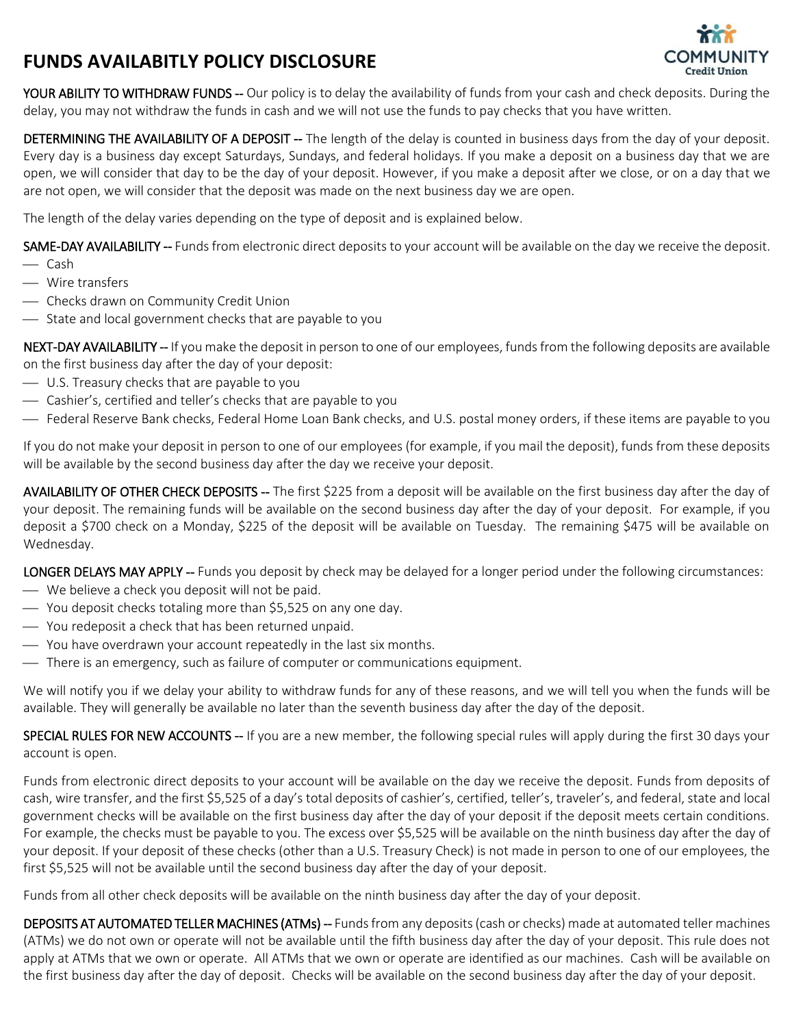## **FUNDS AVAILABITLY POLICY DISCLOSURE**



YOUR ABILITY TO WITHDRAW FUNDS -- Our policy is to delay the availability of funds from your cash and check deposits. During the delay, you may not withdraw the funds in cash and we will not use the funds to pay checks that you have written.

DETERMINING THE AVAILABILITY OF A DEPOSIT -- The length of the delay is counted in business days from the day of your deposit. Every day is a business day except Saturdays, Sundays, and federal holidays. If you make a deposit on a business day that we are open, we will consider that day to be the day of your deposit. However, if you make a deposit after we close, or on a day that we are not open, we will consider that the deposit was made on the next business day we are open.

The length of the delay varies depending on the type of deposit and is explained below.

SAME-DAY AVAILABILITY -- Funds from electronic direct deposits to your account will be available on the day we receive the deposit.

- Cash
- ⎯ Wire transfers
- $\overline{\phantom{a}}$  Checks drawn on Community Credit Union
- State and local government checks that are payable to you

NEXT-DAY AVAILABILITY -- If you make the deposit in person to one of our employees, funds from the following deposits are available on the first business day after the day of your deposit:

- $\sim$  U.S. Treasury checks that are payable to you
- $\overline{\phantom{a}}$  Cashier's, certified and teller's checks that are payable to you
- ⎯ Federal Reserve Bank checks, Federal Home Loan Bank checks, and U.S. postal money orders, if these items are payable to you

If you do not make your deposit in person to one of our employees (for example, if you mail the deposit), funds from these deposits will be available by the second business day after the day we receive your deposit.

AVAILABILITY OF OTHER CHECK DEPOSITS -- The first \$225 from a deposit will be available on the first business day after the day of your deposit. The remaining funds will be available on the second business day after the day of your deposit. For example, if you deposit a \$700 check on a Monday, \$225 of the deposit will be available on Tuesday. The remaining \$475 will be available on Wednesday.

LONGER DELAYS MAY APPLY -- Funds you deposit by check may be delayed for a longer period under the following circumstances:

- ⎯ We believe a check you deposit will not be paid.
- $\sim$  You deposit checks totaling more than \$5,525 on any one day.
- ⎯ You redeposit a check that has been returned unpaid.
- $\sim$  You have overdrawn your account repeatedly in the last six months.
- There is an emergency, such as failure of computer or communications equipment.

We will notify you if we delay your ability to withdraw funds for any of these reasons, and we will tell you when the funds will be available. They will generally be available no later than the seventh business day after the day of the deposit.

SPECIAL RULES FOR NEW ACCOUNTS -- If you are a new member, the following special rules will apply during the first 30 days your account is open.

Funds from electronic direct deposits to your account will be available on the day we receive the deposit. Funds from deposits of cash, wire transfer, and the first \$5,525 of a day's total deposits of cashier's, certified, teller's, traveler's, and federal, state and local government checks will be available on the first business day after the day of your deposit if the deposit meets certain conditions. For example, the checks must be payable to you. The excess over \$5,525 will be available on the ninth business day after the day of your deposit. If your deposit of these checks (other than a U.S. Treasury Check) is not made in person to one of our employees, the first \$5,525 will not be available until the second business day after the day of your deposit.

Funds from all other check deposits will be available on the ninth business day after the day of your deposit.

DEPOSITS AT AUTOMATED TELLER MACHINES (ATMs) -- Funds from any deposits (cash or checks) made at automated teller machines (ATMs) we do not own or operate will not be available until the fifth business day after the day of your deposit. This rule does not apply at ATMs that we own or operate. All ATMs that we own or operate are identified as our machines. Cash will be available on the first business day after the day of deposit. Checks will be available on the second business day after the day of your deposit.